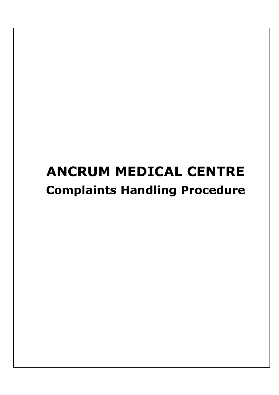# **ANCRUM MEDICAL CENTRE Complaints Handling Procedure**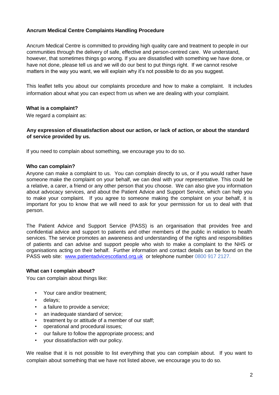# **Ancrum Medical Centre Complaints Handling Procedure**

Ancrum Medical Centre is committed to providing high quality care and treatment to people in our communities through the delivery of safe, effective and person-centred care. We understand, however, that sometimes things go wrong. If you are dissatisfied with something we have done, or have not done, please tell us and we will do our best to put things right. If we cannot resolve matters in the way you want, we will explain why it's not possible to do as you suggest.

This leaflet tells you about our complaints procedure and how to make a complaint. It includes information about what you can expect from us when we are dealing with your complaint.

## **What is a complaint?**

We regard a complaint as:

## **Any expression of dissatisfaction about our action, or lack of action, or about the standard of service provided by us.**

If you need to complain about something, we encourage you to do so.

## **Who can complain?**

Anyone can make a complaint to us. You can complain directly to us, or if you would rather have someone make the complaint on your behalf, we can deal with your representative. This could be a relative, a carer, a friend or any other person that you choose. We can also give you information about advocacy services, and about the Patient Advice and Support Service, which can help you to make your complaint. If you agree to someone making the complaint on your behalf, it is important for you to know that we will need to ask for your permission for us to deal with that person.

The Patient Advice and Support Service (PASS) is an organisation that provides free and confidential advice and support to patients and other members of the public in relation to health services. The service promotes an awareness and understanding of the rights and responsibilities of patients and can advise and support people who wish to make a complaint to the NHS or organisations acting on their behalf. Further information and contact details can be found on the PASS web site: [www.patientadvicescotland.org.uk](http://www.patientadvicescotland.org.uk/) or telephone number 0800 917 2127.

## **What can I complain about?**

You can complain about things like:

- Your care and/or treatment;
- delays;
- a failure to provide a service;
- an inadequate standard of service;
- treatment by or attitude of a member of our staff;
- operational and procedural issues;
- our failure to follow the appropriate process; and
- your dissatisfaction with our policy.

We realise that it is not possible to list everything that you can complain about. If you want to complain about something that we have not listed above, we encourage you to do so.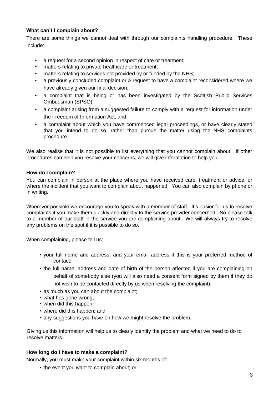# **What can't I complain about?**

There are some things we cannot deal with through our complaints handling procedure. These include:

- a request for a second opinion in respect of care or treatment:
- matters relating to private healthcare or treatment;
- matters relating to services not provided by or funded by the NHS;
- a previously concluded complaint or a request to have a complaint reconsidered where we have already given our final decision;
- a complaint that is being or has been investigated by the Scottish Public Services Ombudsman (SPSO);
- a complaint arising from a suggested failure to comply with a request for information under the Freedom of Information Act; and
- a complaint about which you have commenced legal proceedings, or have clearly stated that you intend to do so, rather than pursue the matter using the NHS complaints procedure.

We also realise that it is not possible to list everything that you cannot complain about. If other procedures can help you resolve your concerns, we will give information to help you.

## **How do I complain?**

You can complain in person at the place where you have received care, treatment or advice, or where the incident that you want to complain about happened. You can also complain by phone or in writing.

Wherever possible we encourage you to speak with a member of staff. It's easier for us to resolve complaints if you make them quickly and directly to the service provider concerned. So please talk to a member of our staff in the service you are complaining about. We will always try to resolve any problems on the spot if it is possible to do so.

When complaining, please tell us:

- your full name and address, and your email address if this is your preferred method of contact;
- the full name, address and date of birth of the person affected if you are complaining on behalf of somebody else (you will also need a consent form signed by them if they do not wish to be contacted directly by us when resolving the complaint);
- as much as you can about the complaint;
- what has gone wrong;
- when did this happen;
- where did this happen; and
- any suggestions you have on how we might resolve the problem.

Giving us this information will help us to clearly identify the problem and what we need to do to resolve matters.

## **How long do I have to make a complaint?**

Normally, you must make your complaint within six months of:

• the event you want to complain about; or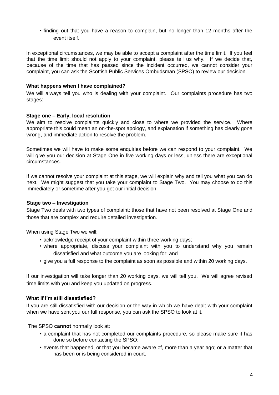• finding out that you have a reason to complain, but no longer than 12 months after the event itself.

In exceptional circumstances, we may be able to accept a complaint after the time limit. If you feel that the time limit should not apply to your complaint, please tell us why. If we decide that, because of the time that has passed since the incident occurred, we cannot consider your complaint, you can ask the Scottish Public Services Ombudsman (SPSO) to review our decision.

## **What happens when I have complained?**

We will always tell you who is dealing with your complaint. Our complaints procedure has two stages:

#### **Stage one – Early, local resolution**

We aim to resolve complaints quickly and close to where we provided the service. Where appropriate this could mean an on-the-spot apology, and explanation if something has clearly gone wrong, and immediate action to resolve the problem.

Sometimes we will have to make some enquiries before we can respond to your complaint. We will give you our decision at Stage One in five working days or less, unless there are exceptional circumstances.

If we cannot resolve your complaint at this stage, we will explain why and tell you what you can do next. We might suggest that you take your complaint to Stage Two. You may choose to do this immediately or sometime after you get our initial decision.

## **Stage two – Investigation**

Stage Two deals with two types of complaint: those that have not been resolved at Stage One and those that are complex and require detailed investigation.

When using Stage Two we will:

- acknowledge receipt of your complaint within three working days;
- where appropriate, discuss your complaint with you to understand why you remain dissatisfied and what outcome you are looking for; and
- give you a full response to the complaint as soon as possible and within 20 working days.

If our investigation will take longer than 20 working days, we will tell you. We will agree revised time limits with you and keep you updated on progress.

## **What if I'm still dissatisfied?**

If you are still dissatisfied with our decision or the way in which we have dealt with your complaint when we have sent you our full response, you can ask the SPSO to look at it.

The SPSO **cannot** normally look at:

- a complaint that has not completed our complaints procedure, so please make sure it has done so before contacting the SPSO;
- events that happened, or that you became aware of, more than a year ago; or a matter that has been or is being considered in court.